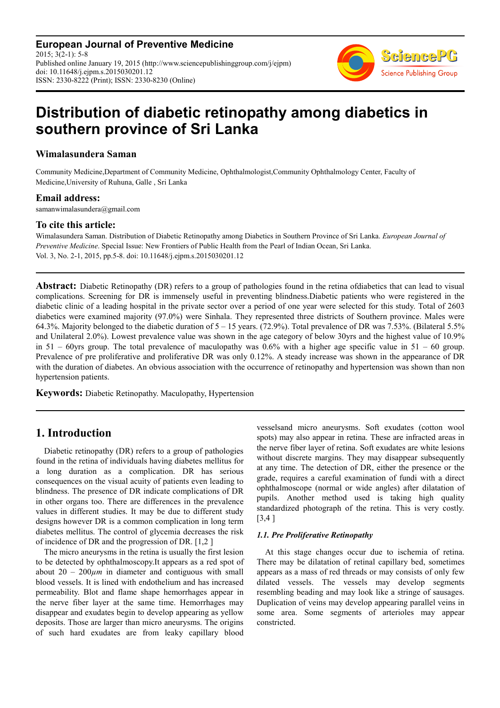**European Journal of Preventive Medicine**  $2015: 3(2-1): 5-8$ Published online January 19, 2015 (http://www.sciencepublishinggroup.com/j/ejpm) doi: 10.11648/j.ejpm.s.2015030201.12 ISSN: 2330-8222 (Print); ISSN: 2330-8230 (Online)



# **Distribution of diabetic retinopathy among diabetics in southern province of Sri Lanka**

### **Wimalasundera Saman**

Community Medicine,Department of Community Medicine, Ophthalmologist,Community Ophthalmology Center, Faculty of Medicine,University of Ruhuna, Galle , Sri Lanka

### **Email address:**

samanwimalasundera@gmail.com

### **To cite this article:**

Wimalasundera Saman. Distribution of Diabetic Retinopathy among Diabetics in Southern Province of Sri Lanka. *European Journal of Preventive Medicine*. Special Issue: New Frontiers of Public Health from the Pearl of Indian Ocean, Sri Lanka. Vol. 3, No. 2-1, 2015, pp.5-8. doi: 10.11648/j.ejpm.s.2015030201.12

Abstract: Diabetic Retinopathy (DR) refers to a group of pathologies found in the retina ofdiabetics that can lead to visual complications. Screening for DR is immensely useful in preventing blindness.Diabetic patients who were registered in the diabetic clinic of a leading hospital in the private sector over a period of one year were selected for this study. Total of 2603 diabetics were examined majority (97.0%) were Sinhala. They represented three districts of Southern province. Males were 64.3%. Majority belonged to the diabetic duration of 5 – 15 years. (72.9%). Total prevalence of DR was 7.53%. (Bilateral 5.5% and Unilateral 2.0%). Lowest prevalence value was shown in the age category of below 30yrs and the highest value of 10.9% in  $51 - 60$ yrs group. The total prevalence of maculopathy was 0.6% with a higher age specific value in  $51 - 60$  group. Prevalence of pre proliferative and proliferative DR was only 0.12%. A steady increase was shown in the appearance of DR with the duration of diabetes. An obvious association with the occurrence of retinopathy and hypertension was shown than non hypertension patients.

**Keywords:** Diabetic Retinopathy. Maculopathy, Hypertension

# **1. Introduction**

Diabetic retinopathy (DR) refers to a group of pathologies found in the retina of individuals having diabetes mellitus for a long duration as a complication. DR has serious consequences on the visual acuity of patients even leading to blindness. The presence of DR indicate complications of DR in other organs too. There are differences in the prevalence values in different studies. It may be due to different study designs however DR is a common complication in long term diabetes mellitus. The control of glycemia decreases the risk of incidence of DR and the progression of DR. [1,2 ]

The micro aneurysms in the retina is usually the first lesion to be detected by ophthalmoscopy.It appears as a red spot of about  $20 - 200 \mu m$  in diameter and contiguous with small blood vessels. It is lined with endothelium and has increased permeability. Blot and flame shape hemorrhages appear in the nerve fiber layer at the same time. Hemorrhages may disappear and exudates begin to develop appearing as yellow deposits. Those are larger than micro aneurysms. The origins of such hard exudates are from leaky capillary blood vesselsand micro aneurysms. Soft exudates (cotton wool spots) may also appear in retina. These are infracted areas in the nerve fiber layer of retina. Soft exudates are white lesions without discrete margins. They may disappear subsequently at any time. The detection of DR, either the presence or the grade, requires a careful examination of fundi with a direct ophthalmoscope (normal or wide angles) after dilatation of pupils. Another method used is taking high quality standardized photograph of the retina. This is very costly. [3,4 ]

### *1.1. Pre Proliferative Retinopathy*

At this stage changes occur due to ischemia of retina. There may be dilatation of retinal capillary bed, sometimes appears as a mass of red threads or may consists of only few dilated vessels. The vessels may develop segments resembling beading and may look like a stringe of sausages. Duplication of veins may develop appearing parallel veins in some area. Some segments of arterioles may appear constricted.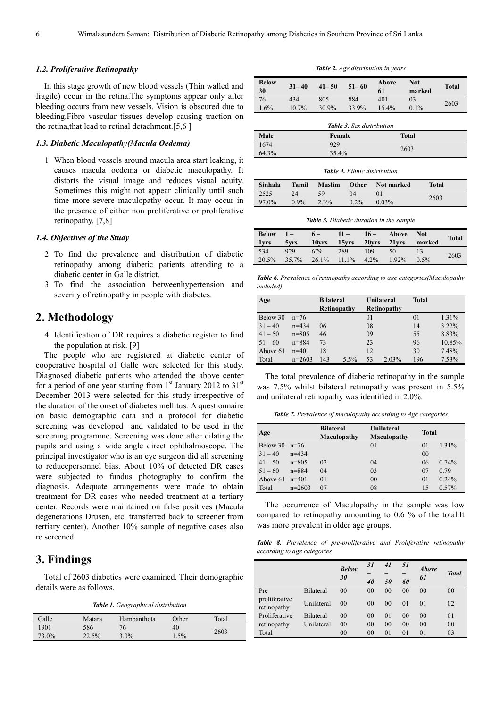#### *1.2. Proliferative Retinopathy*

In this stage growth of new blood vessels (Thin walled and fragile) occur in the retina.The symptoms appear only after bleeding occurs from new vessels. Vision is obscured due to bleeding.Fibro vascular tissues develop causing traction on the retina,that lead to retinal detachment.[5,6 ]

#### *1.3. Diabetic Maculopathy(Macula Oedema)*

1 When blood vessels around macula area start leaking, it causes macula oedema or diabetic maculopathy. It distorts the visual image and reduces visual acuity. Sometimes this might not appear clinically until such time more severe maculopathy occur. It may occur in the presence of either non proliferative or proliferative retinopathy. [7,8]

#### *1.4. Objectives of the Study*

- 2 To find the prevalence and distribution of diabetic retinopathy among diabetic patients attending to a diabetic center in Galle district.
- 3 To find the association betweenhypertension and severity of retinopathy in people with diabetes.

### **2. Methodology**

4 Identification of DR requires a diabetic register to find the population at risk. [9]

The people who are registered at diabetic center of cooperative hospital of Galle were selected for this study. Diagnosed diabetic patients who attended the above center for a period of one year starting from  $1<sup>st</sup>$  January 2012 to 31<sup>st</sup> December 2013 were selected for this study irrespective of the duration of the onset of diabetes mellitus. A questionnaire on basic demographic data and a protocol for diabetic screening was developed and validated to be used in the screening programme. Screening was done after dilating the pupils and using a wide angle direct ophthalmoscope. The principal investigator who is an eye surgeon did all screening to reducepersonnel bias. About 10% of detected DR cases were subjected to fundus photography to confirm the diagnosis. Adequate arrangements were made to obtain treatment for DR cases who needed treatment at a tertiary center. Records were maintained on false positives (Macula degenerations Drusen, etc. transferred back to screener from tertiary center). Another 10% sample of negative cases also re screened.

# **3. Findings**

Total of 2603 diabetics were examined. Their demographic details were as follows.

*Table 1. Geographical distribution* 

| Galle | Matara | Hambanthota | Other | Total |
|-------|--------|-------------|-------|-------|
| 1901  | 586    | 76          | 40    |       |
| 73.0% | 22.5%  | $3.0\%$     | 1.5%  | 2603  |

*Table 2. Age distribution in years* 

| <b>Below</b><br>30 | $31 - 40$ | $41 - 50$ | $51 - 60$ | Above<br>61 | Not<br>marked | <b>Total</b> |
|--------------------|-----------|-----------|-----------|-------------|---------------|--------------|
| 76                 | 434       | 805       | 884       | 401         | 03            |              |
| 1.6%               | $10.7\%$  | 30.9%     | 33.9%     | 15.4%       | $0.1\%$       | 2603         |
|                    |           |           |           |             |               |              |

|       | <b>Table 3.</b> Sex distribution |              |
|-------|----------------------------------|--------------|
| Male  | Female                           | <b>Total</b> |
| 1674  | 929                              | 2603         |
| 64.3% | 35.4%                            |              |

#### *Table 4. Ethnic distribution*

| Sinhala | Tamil   | <b>Muslim</b> | Other    | Not marked     | Total |
|---------|---------|---------------|----------|----------------|-------|
| 2525    | 24      | -59           | $\Omega$ | 0 <sup>1</sup> | 2603  |
| 97.0%   | $0.9\%$ | $2.3\%$       | $0.2\%$  | $0.03\%$       |       |

*Table 5. Diabetic duration in the sample* 

| Below $1-$<br>lyrs |              | $6 -$                   | $11 -$ | $16-$ | Above Not<br>5yrs 10yrs 15yrs 20yrs 21yrs marked |               | <b>Total</b> |
|--------------------|--------------|-------------------------|--------|-------|--------------------------------------------------|---------------|--------------|
| 534<br>20.5%       | 929<br>35.7% | 679<br>26.1% 11.1% 4.2% | 289    | 109   | 50<br>$1.92\%$                                   | 13<br>$0.5\%$ | 2603         |

*Table 6. Prevalence of retinopathy according to age categories(Maculopathy included)* 

| Age       |           | <b>Bilateral</b> |         |    | Unilateral         | <b>Total</b> |          |
|-----------|-----------|------------------|---------|----|--------------------|--------------|----------|
|           |           | Retinopathy      |         |    | <b>Retinopathy</b> |              |          |
| Below 30  | $n=76$    |                  |         | 01 |                    | 01           | 1.31%    |
| $31 - 40$ | $n = 434$ | 06               |         | 08 |                    | 14           | $3.22\%$ |
| $41 - 50$ | $n = 805$ | 46               |         | 09 |                    | 55           | 8.83%    |
| $51 - 60$ | $n = 884$ | 73               |         | 23 |                    | 96           | 10.85%   |
| Above 61  | $n=401$   | 18               |         | 12 |                    | 30           | 7.48%    |
| Total     | $n=2603$  | 143              | $5.5\%$ | 53 | 2.03%              | 196          | 7.53%    |

The total prevalence of diabetic retinopathy in the sample was 7.5% whilst bilateral retinopathy was present in 5.5% and unilateral retinopathy was identified in 2.0%.

|  |  |  | <b>Table 7.</b> Prevalence of maculopathy according to Age categories |
|--|--|--|-----------------------------------------------------------------------|
|  |  |  |                                                                       |

| Age             |           | <b>Bilateral</b><br>Maculopathy | Unilateral<br>Maculopathy | Total          |          |
|-----------------|-----------|---------------------------------|---------------------------|----------------|----------|
| Below 30 $n=76$ |           |                                 | 0 <sub>1</sub>            | 0 <sub>1</sub> | 1.31%    |
| $31 - 40$       | $n = 434$ |                                 |                           | 00             |          |
| $41 - 50$       | $n = 805$ | 02                              | 04                        | 06             | 0.74%    |
| $51 - 60$       | $n = 884$ | 04                              | 03                        | 07             | 0.79     |
| Above 61        | $n=401$   | 01                              | 00                        | 0 <sub>1</sub> | 0.24%    |
| Total           | $n=2603$  | 07                              | 08                        | 15             | $0.57\%$ |

The occurrence of Maculopathy in the sample was low compared to retinopathy amounting to 0.6 % of the total.It was more prevalent in older age groups.

*Table 8. Prevalence of pre-proliferative and Proliferative retinopathy according to age categories* 

|                              |                  | <b>Below</b>   | 31             | 41             | 51             | <b>Above</b>   |              |
|------------------------------|------------------|----------------|----------------|----------------|----------------|----------------|--------------|
|                              |                  |                |                |                |                |                | <b>Total</b> |
|                              |                  | 30             | 40             | 50             | 60             | 61             |              |
| Pre                          | <b>Bilateral</b> | 0 <sub>0</sub> | 00             | 00             | 00             | 0 <sub>0</sub> | 00           |
| proliferative<br>retinopathy | Unilateral       | 0 <sub>0</sub> | 0 <sup>0</sup> | 0 <sup>0</sup> | 01             | 0 <sub>1</sub> | 02           |
| Proliferative                | <b>Bilateral</b> | 0 <sup>0</sup> | 0 <sup>0</sup> | $\Omega$       | 0 <sup>0</sup> | 0 <sup>0</sup> | 01           |
| retinopathy                  | Unilateral       | 0 <sub>0</sub> | 0 <sub>0</sub> | 0 <sub>0</sub> | 00             | 0 <sub>0</sub> | 00           |
| Total                        |                  | 00             | 00             | $\Omega$       | 01             | 01             | 03           |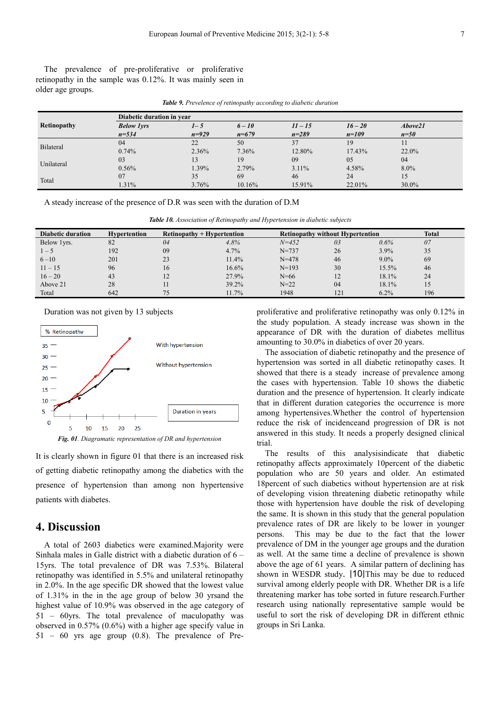The prevalence of pre-proliferative or proliferative retinopathy in the sample was 0.12%. It was mainly seen in older age groups.

|  |  | <b>Table 9.</b> Prevelence of retinopathy according to diabetic duration |
|--|--|--------------------------------------------------------------------------|
|--|--|--------------------------------------------------------------------------|

|                    | Diabetic duration in year |           |          |           |           |          |  |  |  |
|--------------------|---------------------------|-----------|----------|-----------|-----------|----------|--|--|--|
| <b>Retinopathy</b> | <b>Below lyrs</b>         | $1 - 5$   | $6 - 10$ | $11 - 15$ | $16 - 20$ | Above21  |  |  |  |
|                    | $n = 534$                 | $n = 929$ | $n=679$  | $n = 289$ | $n=109$   | $n=50$   |  |  |  |
| Bilateral          | 04                        | 22        | 50       | 37        | 19        | 11       |  |  |  |
|                    | 0.74%                     | 2.36%     | 7.36%    | 12.80%    | 17.43%    | $22.0\%$ |  |  |  |
| Unilateral         | 03                        | 13        | 19       | 09        | 05        | 04       |  |  |  |
|                    | 0.56%                     | 1.39%     | 2.79%    | $3.11\%$  | 4.58%     | $8.0\%$  |  |  |  |
| Total              | 07                        | 35        | 69       | 46        | 24        | 15       |  |  |  |
|                    | $1.31\%$                  | 3.76%     | 10.16%   | 15.91%    | 22.01%    | 30.0%    |  |  |  |

A steady increase of the presence of D.R was seen with the duration of D.M

| Diabetic duration | <b>Hypertention</b> | $Retinopathy + Hypertention$ |       | <b>Retinopathy without Hypertention</b> |     |         | <b>Total</b> |
|-------------------|---------------------|------------------------------|-------|-----------------------------------------|-----|---------|--------------|
| Below 1yrs.       | 82                  | 04                           | 4.8%  | $N = 452$                               | 03  | $0.6\%$ | 07           |
| $1 - 5$           | 192                 | 09                           | 4.7%  | $N = 737$                               | 26  | $3.9\%$ | 35           |
| $6 - 10$          | 201                 | 23                           | 11.4% | $N = 478$                               | 46  | $9.0\%$ | 69           |
| $11 - 15$         | 96                  | 16                           | 16.6% | $N=193$                                 | 30  | 15.5%   | 46           |
| $16 - 20$         | 43                  | 12                           | 27.9% | $N = 66$                                | 12  | 18.1%   | 24           |
| Above 21          | 28                  | 11                           | 39.2% | $N = 22$                                | 04  | 18.1%   | 15           |
| Total             | 642                 | 75                           | 11.7% | 1948                                    | 121 | $6.2\%$ | 196          |

Duration was not given by 13 subjects



*Fig. 01. Diagramatic representation of DR and hypertension*

It is clearly shown in figure 01 that there is an increased risk of getting diabetic retinopathy among the diabetics with the presence of hypertension than among non hypertensive patients with diabetes.

### **4. Discussion**

A total of 2603 diabetics were examined.Majority were Sinhala males in Galle district with a diabetic duration of 6 – 15yrs. The total prevalence of DR was 7.53%. Bilateral retinopathy was identified in 5.5% and unilateral retinopathy in 2.0%. In the age specific DR showed that the lowest value of 1.31% in the in the age group of below 30 yrsand the highest value of 10.9% was observed in the age category of 51 – 60yrs. The total prevalence of maculopathy was observed in 0.57% (0.6%) with a higher age specify value in 51 – 60 yrs age group (0.8). The prevalence of Preproliferative and proliferative retinopathy was only 0.12% in the study population. A steady increase was shown in the appearance of DR with the duration of diabetes mellitus amounting to 30.0% in diabetics of over 20 years.

The association of diabetic retinopathy and the presence of hypertension was sorted in all diabetic retinopathy cases. It showed that there is a steady increase of prevalence among the cases with hypertension. Table 10 shows the diabetic duration and the presence of hypertension. It clearly indicate that in different duration categories the occurrence is more among hypertensives.Whether the control of hypertension reduce the risk of incidenceand progression of DR is not answered in this study. It needs a properly designed clinical trial.

The results of this analysisindicate that diabetic retinopathy affects approximately 10percent of the diabetic population who are 50 years and older. An estimated 18percent of such diabetics without hypertension are at risk of developing vision threatening diabetic retinopathy while those with hypertension have double the risk of developing the same. It is shown in this study that the general population prevalence rates of DR are likely to be lower in younger persons. This may be due to the fact that the lower prevalence of DM in the younger age groups and the duration as well. At the same time a decline of prevalence is shown above the age of 61 years. A similar pattern of declining has shown in WESDR study. [10]This may be due to reduced survival among elderly people with DR. Whether DR is a life threatening marker has tobe sorted in future research.Further research using nationally representative sample would be useful to sort the risk of developing DR in different ethnic groups in Sri Lanka.